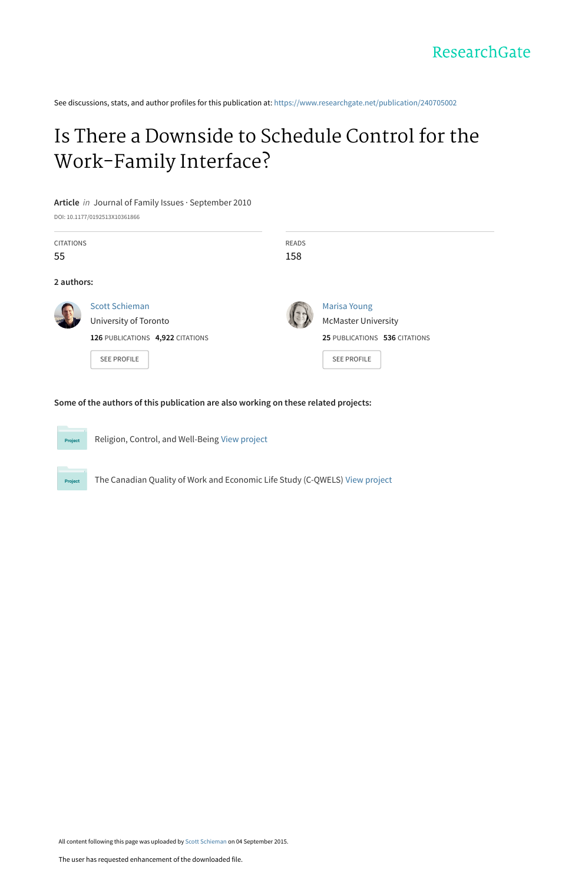See discussions, stats, and author profiles for this publication at: [https://www.researchgate.net/publication/240705002](https://www.researchgate.net/publication/240705002_Is_There_a_Downside_to_Schedule_Control_for_the_Work-Family_Interface?enrichId=rgreq-ba667ebb487e10718848f4a40b6e113a-XXX&enrichSource=Y292ZXJQYWdlOzI0MDcwNTAwMjtBUzoyNjk5Nzg2MDc4MTI2MDhAMTQ0MTM3OTMyNDg2OQ%3D%3D&el=1_x_2&_esc=publicationCoverPdf)

# [Is There a Downside to Schedule Control for the](https://www.researchgate.net/publication/240705002_Is_There_a_Downside_to_Schedule_Control_for_the_Work-Family_Interface?enrichId=rgreq-ba667ebb487e10718848f4a40b6e113a-XXX&enrichSource=Y292ZXJQYWdlOzI0MDcwNTAwMjtBUzoyNjk5Nzg2MDc4MTI2MDhAMTQ0MTM3OTMyNDg2OQ%3D%3D&el=1_x_3&_esc=publicationCoverPdf) Work-Family Interface?

**Article** in Journal of Family Issues · September 2010

DOI: 10.1177/0192513X10361866

| <b>CITATIONS</b><br>55 |                                                                             | READS<br>158 |                                                                                    |
|------------------------|-----------------------------------------------------------------------------|--------------|------------------------------------------------------------------------------------|
| 2 authors:             |                                                                             |              |                                                                                    |
|                        | Scott Schieman<br>University of Toronto<br>126 PUBLICATIONS 4,922 CITATIONS |              | <b>Marisa Young</b><br><b>McMaster University</b><br>25 PUBLICATIONS 536 CITATIONS |
|                        | <b>SEE PROFILE</b>                                                          |              | <b>SEE PROFILE</b>                                                                 |

**Some of the authors of this publication are also working on these related projects:**



Religion, Control, and Well-Being [View project](https://www.researchgate.net/project/Religion-Control-and-Well-Being?enrichId=rgreq-ba667ebb487e10718848f4a40b6e113a-XXX&enrichSource=Y292ZXJQYWdlOzI0MDcwNTAwMjtBUzoyNjk5Nzg2MDc4MTI2MDhAMTQ0MTM3OTMyNDg2OQ%3D%3D&el=1_x_9&_esc=publicationCoverPdf)

The Canadian Quality of Work and Economic Life Study (C-QWELS) [View project](https://www.researchgate.net/project/The-Canadian-Quality-of-Work-and-Economic-Life-Study-C-QWELS?enrichId=rgreq-ba667ebb487e10718848f4a40b6e113a-XXX&enrichSource=Y292ZXJQYWdlOzI0MDcwNTAwMjtBUzoyNjk5Nzg2MDc4MTI2MDhAMTQ0MTM3OTMyNDg2OQ%3D%3D&el=1_x_9&_esc=publicationCoverPdf)

All content following this page was uploaded by [Scott Schieman](https://www.researchgate.net/profile/Scott_Schieman?enrichId=rgreq-ba667ebb487e10718848f4a40b6e113a-XXX&enrichSource=Y292ZXJQYWdlOzI0MDcwNTAwMjtBUzoyNjk5Nzg2MDc4MTI2MDhAMTQ0MTM3OTMyNDg2OQ%3D%3D&el=1_x_10&_esc=publicationCoverPdf) on 04 September 2015.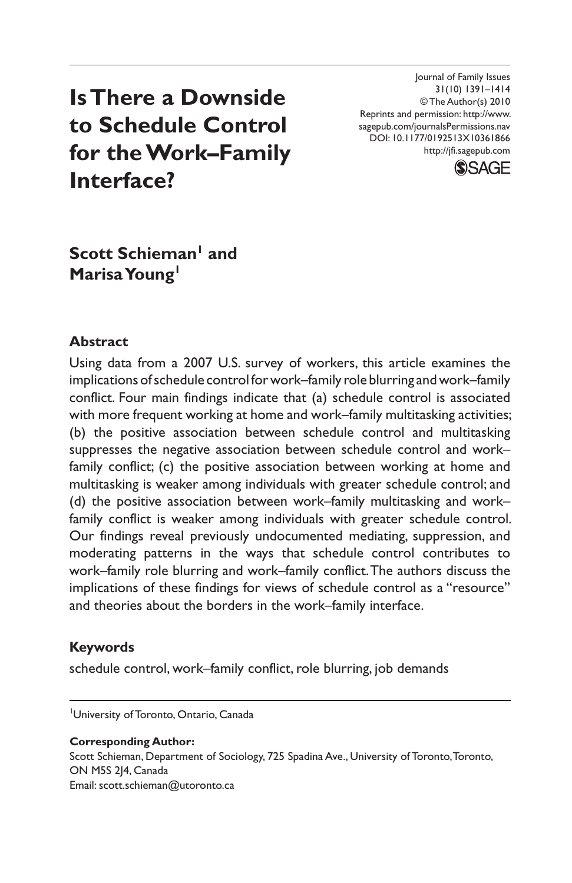# **Is There a Downside to Schedule Control for the Work–Family Interface?**

Journal of Family Issues 31(10) 1391–1414 © The Author(s) 2010 Reprints and permission: http://www. sagepub.com/journalsPermissions.nav DOI: 10.1177/0192513X10361866 http://jfi.sagepub.com



# $\mathsf{Scott}\ \mathsf{Schieman}^{\mathsf{I}}\ \mathsf{and}\ \mathsf{I}$ **Marisa Young1**

#### **Abstract**

Using data from a 2007 U.S. survey of workers, this article examines the implications of schedule control for work–family role blurring and work–family conflict. Four main findings indicate that (a) schedule control is associated with more frequent working at home and work–family multitasking activities; (b) the positive association between schedule control and multitasking suppresses the negative association between schedule control and work– family conflict; (c) the positive association between working at home and multitasking is weaker among individuals with greater schedule control; and (d) the positive association between work–family multitasking and work– family conflict is weaker among individuals with greater schedule control. Our findings reveal previously undocumented mediating, suppression, and moderating patterns in the ways that schedule control contributes to work–family role blurring and work–family conflict. The authors discuss the implications of these findings for views of schedule control as a "resource" and theories about the borders in the work–family interface.

## **Keywords**

schedule control, work–family conflict, role blurring, job demands

1 University of Toronto, Ontario, Canada

#### **Corresponding Author:**

Scott Schieman, Department of Sociology, 725 Spadina Ave., University of Toronto, Toronto, ON M5S 2J4, Canada Email: scott.schieman@utoronto.ca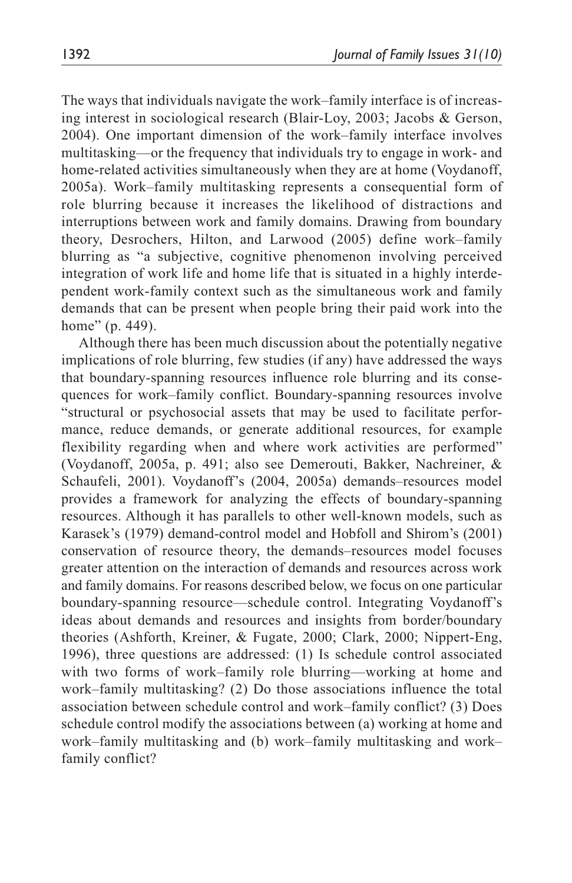The ways that individuals navigate the work–family interface is of increasing interest in sociological research (Blair-Loy, 2003; Jacobs & Gerson, 2004). One important dimension of the work–family interface involves multitasking—or the frequency that individuals try to engage in work- and home-related activities simultaneously when they are at home (Voydanoff, 2005a). Work–family multitasking represents a consequential form of role blurring because it increases the likelihood of distractions and interruptions between work and family domains. Drawing from boundary theory, Desrochers, Hilton, and Larwood (2005) define work–family blurring as "a subjective, cognitive phenomenon involving perceived integration of work life and home life that is situated in a highly interdependent work-family context such as the simultaneous work and family demands that can be present when people bring their paid work into the home" (p. 449).

Although there has been much discussion about the potentially negative implications of role blurring, few studies (if any) have addressed the ways that boundary-spanning resources influence role blurring and its consequences for work–family conflict. Boundary-spanning resources involve "structural or psychosocial assets that may be used to facilitate performance, reduce demands, or generate additional resources, for example flexibility regarding when and where work activities are performed" (Voydanoff, 2005a, p. 491; also see Demerouti, Bakker, Nachreiner, & Schaufeli, 2001). Voydanoff's (2004, 2005a) demands–resources model provides a framework for analyzing the effects of boundary-spanning resources. Although it has parallels to other well-known models, such as Karasek's (1979) demand-control model and Hobfoll and Shirom's (2001) conservation of resource theory, the demands–resources model focuses greater attention on the interaction of demands and resources across work and family domains. For reasons described below, we focus on one particular boundary-spanning resource—schedule control. Integrating Voydanoff's ideas about demands and resources and insights from border/boundary theories (Ashforth, Kreiner, & Fugate, 2000; Clark, 2000; Nippert-Eng, 1996), three questions are addressed: (1) Is schedule control associated with two forms of work–family role blurring—working at home and work–family multitasking? (2) Do those associations influence the total association between schedule control and work–family conflict? (3) Does schedule control modify the associations between (a) working at home and work–family multitasking and (b) work–family multitasking and work– family conflict?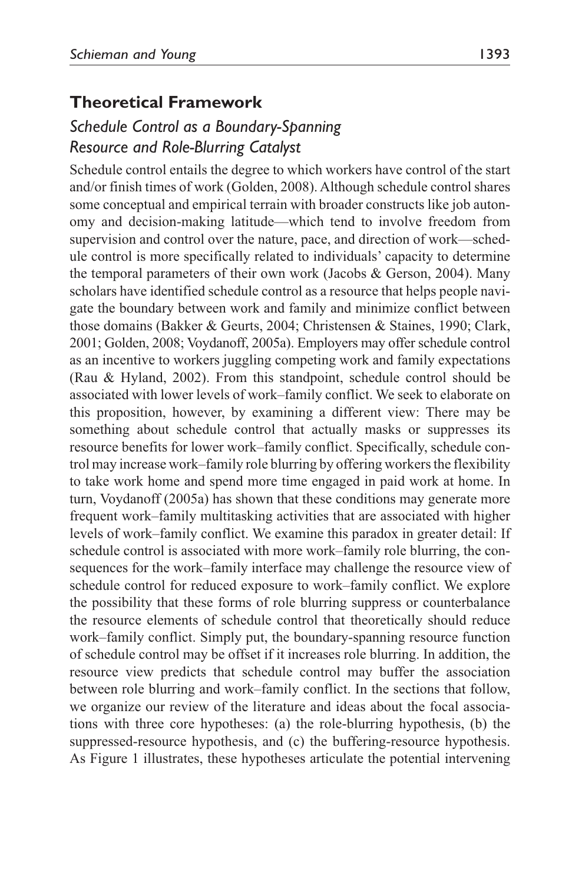# **Theoretical Framework**

# *Schedule Control as a Boundary-Spanning Resource and Role-Blurring Catalyst*

Schedule control entails the degree to which workers have control of the start and/or finish times of work (Golden, 2008). Although schedule control shares some conceptual and empirical terrain with broader constructs like job autonomy and decision-making latitude—which tend to involve freedom from supervision and control over the nature, pace, and direction of work—schedule control is more specifically related to individuals' capacity to determine the temporal parameters of their own work (Jacobs & Gerson, 2004). Many scholars have identified schedule control as a resource that helps people navigate the boundary between work and family and minimize conflict between those domains (Bakker & Geurts, 2004; Christensen & Staines, 1990; Clark, 2001; Golden, 2008; Voydanoff, 2005a). Employers may offer schedule control as an incentive to workers juggling competing work and family expectations (Rau & Hyland, 2002). From this standpoint, schedule control should be associated with lower levels of work–family conflict. We seek to elaborate on this proposition, however, by examining a different view: There may be something about schedule control that actually masks or suppresses its resource benefits for lower work–family conflict. Specifically, schedule control may increase work–family role blurring by offering workers the flexibility to take work home and spend more time engaged in paid work at home. In turn, Voydanoff (2005a) has shown that these conditions may generate more frequent work–family multitasking activities that are associated with higher levels of work–family conflict. We examine this paradox in greater detail: If schedule control is associated with more work–family role blurring, the consequences for the work–family interface may challenge the resource view of schedule control for reduced exposure to work–family conflict. We explore the possibility that these forms of role blurring suppress or counterbalance the resource elements of schedule control that theoretically should reduce work–family conflict. Simply put, the boundary-spanning resource function of schedule control may be offset if it increases role blurring. In addition, the resource view predicts that schedule control may buffer the association between role blurring and work–family conflict. In the sections that follow, we organize our review of the literature and ideas about the focal associations with three core hypotheses: (a) the role-blurring hypothesis, (b) the suppressed-resource hypothesis, and (c) the buffering-resource hypothesis. As Figure 1 illustrates, these hypotheses articulate the potential intervening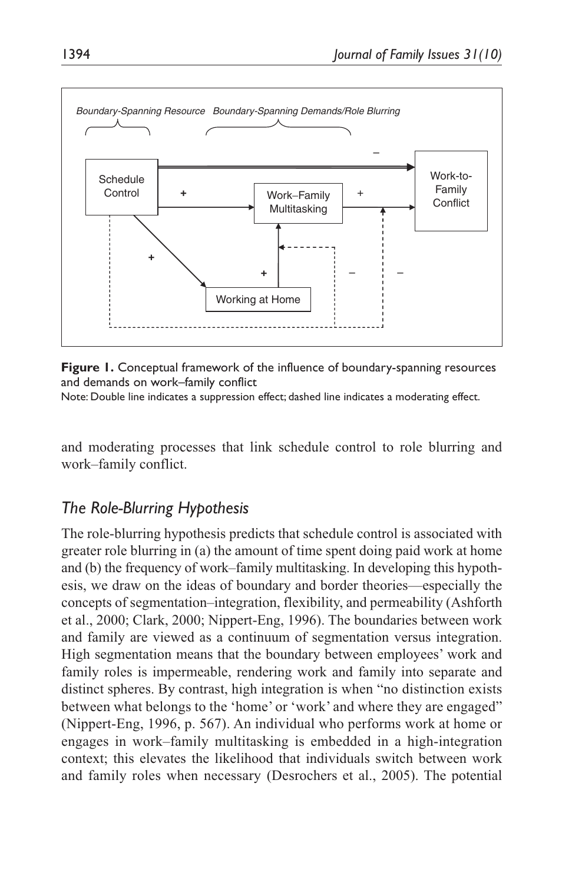



Note: Double line indicates a suppression effect; dashed line indicates a moderating effect.

and moderating processes that link schedule control to role blurring and work–family conflict.

# *The Role-Blurring Hypothesis*

The role-blurring hypothesis predicts that schedule control is associated with greater role blurring in (a) the amount of time spent doing paid work at home and (b) the frequency of work–family multitasking. In developing this hypothesis, we draw on the ideas of boundary and border theories—especially the concepts of segmentation–integration, flexibility, and permeability (Ashforth et al., 2000; Clark, 2000; Nippert-Eng, 1996). The boundaries between work and family are viewed as a continuum of segmentation versus integration. High segmentation means that the boundary between employees' work and family roles is impermeable, rendering work and family into separate and distinct spheres. By contrast, high integration is when "no distinction exists between what belongs to the 'home' or 'work' and where they are engaged" (Nippert-Eng, 1996, p. 567). An individual who performs work at home or engages in work–family multitasking is embedded in a high-integration context; this elevates the likelihood that individuals switch between work and family roles when necessary (Desrochers et al., 2005). The potential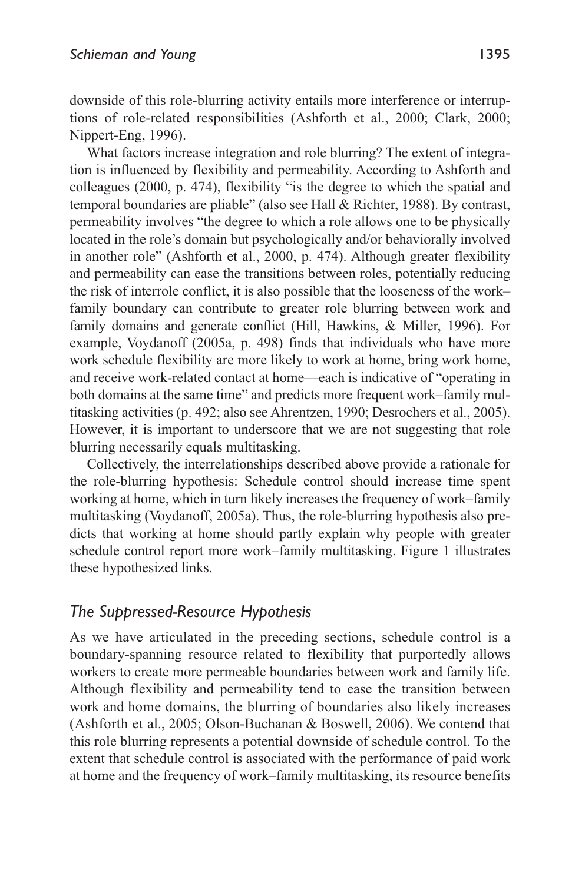downside of this role-blurring activity entails more interference or interruptions of role-related responsibilities (Ashforth et al., 2000; Clark, 2000; Nippert-Eng, 1996).

What factors increase integration and role blurring? The extent of integration is influenced by flexibility and permeability. According to Ashforth and colleagues (2000, p. 474), flexibility "is the degree to which the spatial and temporal boundaries are pliable" (also see Hall & Richter, 1988). By contrast, permeability involves "the degree to which a role allows one to be physically located in the role's domain but psychologically and/or behaviorally involved in another role" (Ashforth et al., 2000, p. 474). Although greater flexibility and permeability can ease the transitions between roles, potentially reducing the risk of interrole conflict, it is also possible that the looseness of the work– family boundary can contribute to greater role blurring between work and family domains and generate conflict (Hill, Hawkins, & Miller, 1996). For example, Voydanoff (2005a, p. 498) finds that individuals who have more work schedule flexibility are more likely to work at home, bring work home, and receive work-related contact at home—each is indicative of "operating in both domains at the same time" and predicts more frequent work–family multitasking activities (p. 492; also see Ahrentzen, 1990; Desrochers et al., 2005). However, it is important to underscore that we are not suggesting that role blurring necessarily equals multitasking.

Collectively, the interrelationships described above provide a rationale for the role-blurring hypothesis: Schedule control should increase time spent working at home, which in turn likely increases the frequency of work–family multitasking (Voydanoff, 2005a). Thus, the role-blurring hypothesis also predicts that working at home should partly explain why people with greater schedule control report more work–family multitasking. Figure 1 illustrates these hypothesized links.

## *The Suppressed-Resource Hypothesis*

As we have articulated in the preceding sections, schedule control is a boundary-spanning resource related to flexibility that purportedly allows workers to create more permeable boundaries between work and family life. Although flexibility and permeability tend to ease the transition between work and home domains, the blurring of boundaries also likely increases (Ashforth et al., 2005; Olson-Buchanan & Boswell, 2006). We contend that this role blurring represents a potential downside of schedule control. To the extent that schedule control is associated with the performance of paid work at home and the frequency of work–family multitasking, its resource benefits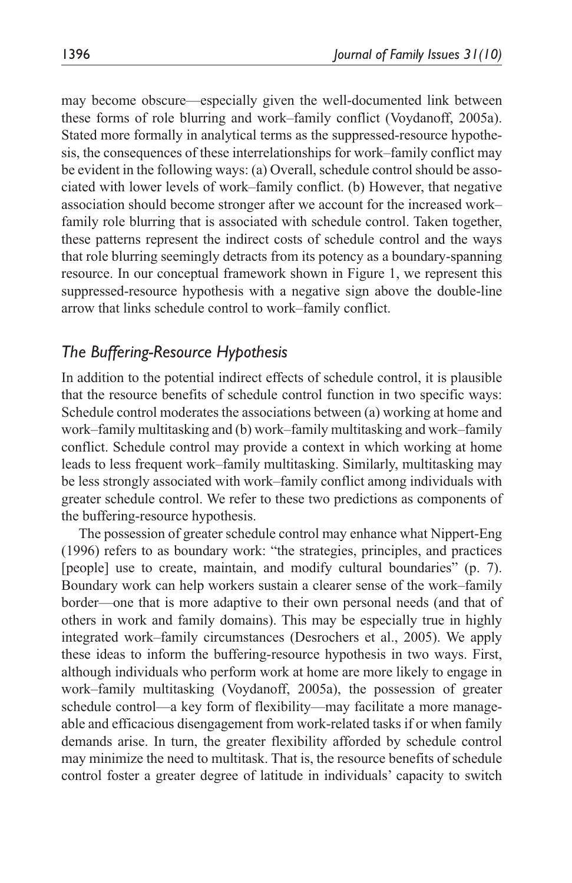may become obscure—especially given the well-documented link between these forms of role blurring and work–family conflict (Voydanoff, 2005a). Stated more formally in analytical terms as the suppressed-resource hypothesis, the consequences of these interrelationships for work–family conflict may be evident in the following ways: (a) Overall, schedule control should be associated with lower levels of work–family conflict. (b) However, that negative association should become stronger after we account for the increased work– family role blurring that is associated with schedule control. Taken together, these patterns represent the indirect costs of schedule control and the ways that role blurring seemingly detracts from its potency as a boundary-spanning resource. In our conceptual framework shown in Figure 1, we represent this suppressed-resource hypothesis with a negative sign above the double-line arrow that links schedule control to work–family conflict.

## *The Buffering-Resource Hypothesis*

In addition to the potential indirect effects of schedule control, it is plausible that the resource benefits of schedule control function in two specific ways: Schedule control moderates the associations between (a) working at home and work–family multitasking and (b) work–family multitasking and work–family conflict. Schedule control may provide a context in which working at home leads to less frequent work–family multitasking. Similarly, multitasking may be less strongly associated with work–family conflict among individuals with greater schedule control. We refer to these two predictions as components of the buffering-resource hypothesis.

The possession of greater schedule control may enhance what Nippert-Eng (1996) refers to as boundary work: "the strategies, principles, and practices [people] use to create, maintain, and modify cultural boundaries" (p. 7). Boundary work can help workers sustain a clearer sense of the work–family border—one that is more adaptive to their own personal needs (and that of others in work and family domains). This may be especially true in highly integrated work–family circumstances (Desrochers et al., 2005). We apply these ideas to inform the buffering-resource hypothesis in two ways. First, although individuals who perform work at home are more likely to engage in work–family multitasking (Voydanoff, 2005a), the possession of greater schedule control—a key form of flexibility—may facilitate a more manageable and efficacious disengagement from work-related tasks if or when family demands arise. In turn, the greater flexibility afforded by schedule control may minimize the need to multitask. That is, the resource benefits of schedule control foster a greater degree of latitude in individuals' capacity to switch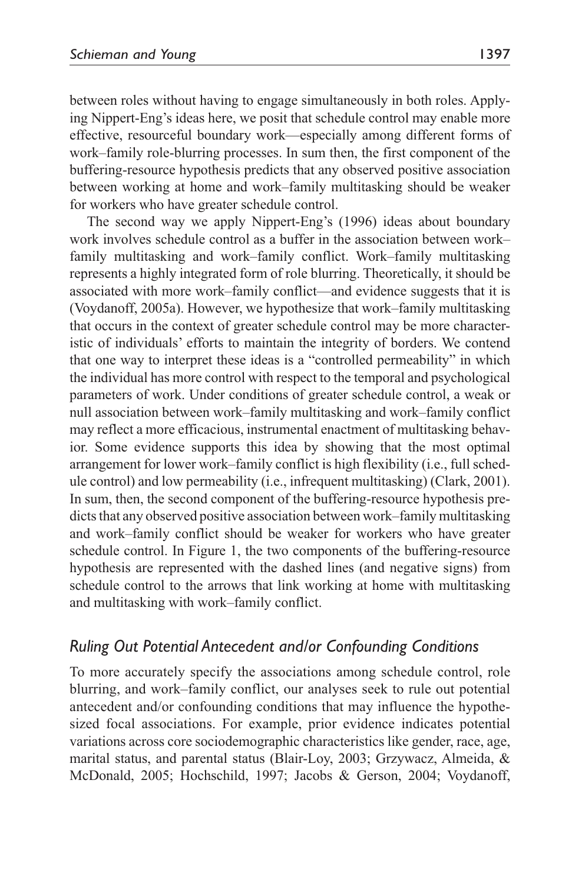between roles without having to engage simultaneously in both roles. Applying Nippert-Eng's ideas here, we posit that schedule control may enable more effective, resourceful boundary work—especially among different forms of work–family role-blurring processes. In sum then, the first component of the buffering-resource hypothesis predicts that any observed positive association between working at home and work–family multitasking should be weaker for workers who have greater schedule control.

The second way we apply Nippert-Eng's (1996) ideas about boundary work involves schedule control as a buffer in the association between work– family multitasking and work–family conflict. Work–family multitasking represents a highly integrated form of role blurring. Theoretically, it should be associated with more work–family conflict—and evidence suggests that it is (Voydanoff, 2005a). However, we hypothesize that work–family multitasking that occurs in the context of greater schedule control may be more characteristic of individuals' efforts to maintain the integrity of borders. We contend that one way to interpret these ideas is a "controlled permeability" in which the individual has more control with respect to the temporal and psychological parameters of work. Under conditions of greater schedule control, a weak or null association between work–family multitasking and work–family conflict may reflect a more efficacious, instrumental enactment of multitasking behavior. Some evidence supports this idea by showing that the most optimal arrangement for lower work–family conflict is high flexibility (i.e., full schedule control) and low permeability (i.e., infrequent multitasking) (Clark, 2001). In sum, then, the second component of the buffering-resource hypothesis predicts that any observed positive association between work–family multitasking and work–family conflict should be weaker for workers who have greater schedule control. In Figure 1, the two components of the buffering-resource hypothesis are represented with the dashed lines (and negative signs) from schedule control to the arrows that link working at home with multitasking and multitasking with work–family conflict.

## *Ruling Out Potential Antecedent and/or Confounding Conditions*

To more accurately specify the associations among schedule control, role blurring, and work–family conflict, our analyses seek to rule out potential antecedent and/or confounding conditions that may influence the hypothesized focal associations. For example, prior evidence indicates potential variations across core sociodemographic characteristics like gender, race, age, marital status, and parental status (Blair-Loy, 2003; Grzywacz, Almeida, & McDonald, 2005; Hochschild, 1997; Jacobs & Gerson, 2004; Voydanoff,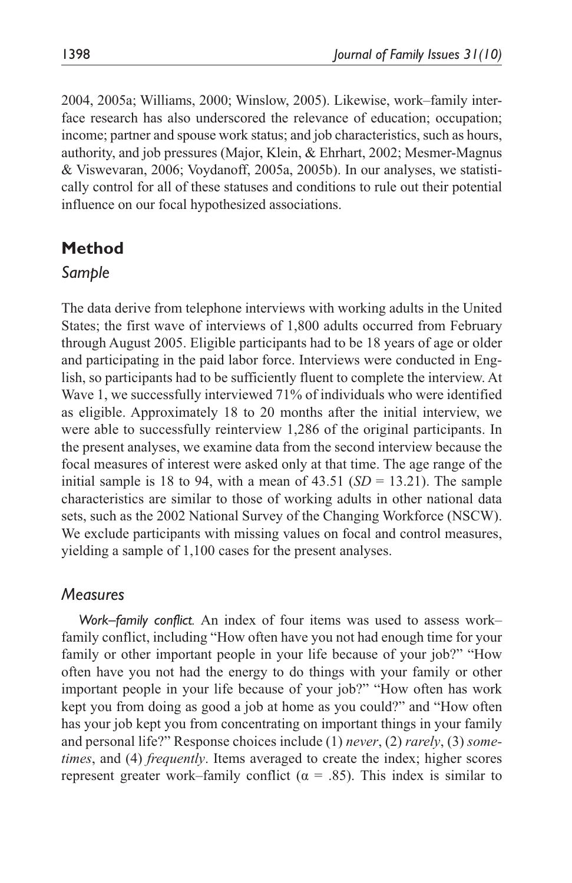2004, 2005a; Williams, 2000; Winslow, 2005). Likewise, work–family interface research has also underscored the relevance of education; occupation; income; partner and spouse work status; and job characteristics, such as hours, authority, and job pressures (Major, Klein, & Ehrhart, 2002; Mesmer-Magnus & Viswevaran, 2006; Voydanoff, 2005a, 2005b). In our analyses, we statistically control for all of these statuses and conditions to rule out their potential influence on our focal hypothesized associations.

## **Method**

#### *Sample*

The data derive from telephone interviews with working adults in the United States; the first wave of interviews of 1,800 adults occurred from February through August 2005. Eligible participants had to be 18 years of age or older and participating in the paid labor force. Interviews were conducted in English, so participants had to be sufficiently fluent to complete the interview. At Wave 1, we successfully interviewed 71% of individuals who were identified as eligible. Approximately 18 to 20 months after the initial interview, we were able to successfully reinterview 1,286 of the original participants. In the present analyses, we examine data from the second interview because the focal measures of interest were asked only at that time. The age range of the initial sample is 18 to 94, with a mean of  $43.51$  (*SD* = 13.21). The sample characteristics are similar to those of working adults in other national data sets, such as the 2002 National Survey of the Changing Workforce (NSCW). We exclude participants with missing values on focal and control measures, yielding a sample of 1,100 cases for the present analyses.

#### *Measures*

*Work–family conflict.* An index of four items was used to assess work– family conflict, including "How often have you not had enough time for your family or other important people in your life because of your job?" "How often have you not had the energy to do things with your family or other important people in your life because of your job?" "How often has work kept you from doing as good a job at home as you could?" and "How often has your job kept you from concentrating on important things in your family and personal life?" Response choices include (1) *never*, (2) *rarely*, (3) *sometimes*, and (4) *frequently*. Items averaged to create the index; higher scores represent greater work–family conflict ( $α = .85$ ). This index is similar to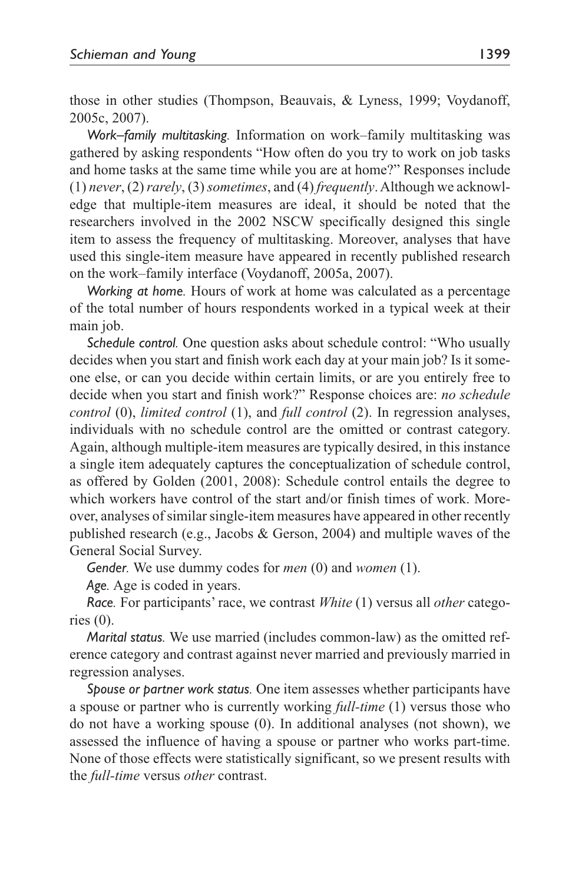those in other studies (Thompson, Beauvais, & Lyness, 1999; Voydanoff, 2005c, 2007).

*Work–family multitasking.* Information on work–family multitasking was gathered by asking respondents "How often do you try to work on job tasks and home tasks at the same time while you are at home?" Responses include (1) *never*, (2) *rarely*, (3) *sometimes*, and (4) *frequently*. Although we acknowledge that multiple-item measures are ideal, it should be noted that the researchers involved in the 2002 NSCW specifically designed this single item to assess the frequency of multitasking. Moreover, analyses that have used this single-item measure have appeared in recently published research on the work–family interface (Voydanoff, 2005a, 2007).

*Working at home.* Hours of work at home was calculated as a percentage of the total number of hours respondents worked in a typical week at their main job.

*Schedule control.* One question asks about schedule control: "Who usually decides when you start and finish work each day at your main job? Is it someone else, or can you decide within certain limits, or are you entirely free to decide when you start and finish work?" Response choices are: *no schedule control* (0), *limited control* (1), and *full control* (2). In regression analyses, individuals with no schedule control are the omitted or contrast category. Again, although multiple-item measures are typically desired, in this instance a single item adequately captures the conceptualization of schedule control, as offered by Golden (2001, 2008): Schedule control entails the degree to which workers have control of the start and/or finish times of work. Moreover, analyses of similar single-item measures have appeared in other recently published research (e.g., Jacobs & Gerson, 2004) and multiple waves of the General Social Survey.

*Gender.* We use dummy codes for *men* (0) and *women* (1).

*Age.* Age is coded in years.

*Race.* For participants' race, we contrast *White* (1) versus all *other* categories (0).

*Marital status.* We use married (includes common-law) as the omitted reference category and contrast against never married and previously married in regression analyses.

*Spouse or partner work status.* One item assesses whether participants have a spouse or partner who is currently working *full-time* (1) versus those who do not have a working spouse (0). In additional analyses (not shown), we assessed the influence of having a spouse or partner who works part-time. None of those effects were statistically significant, so we present results with the *full-time* versus *other* contrast.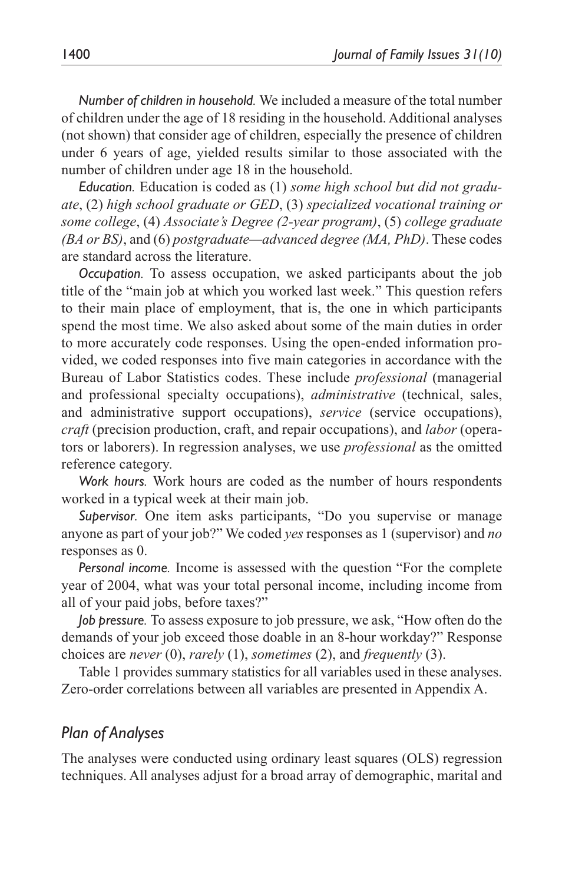*Number of children in household.* We included a measure of the total number of children under the age of 18 residing in the household. Additional analyses (not shown) that consider age of children, especially the presence of children under 6 years of age, yielded results similar to those associated with the number of children under age 18 in the household.

*Education.* Education is coded as (1) *some high school but did not graduate*, (2) *high school graduate or GED*, (3) *specialized vocational training or some college*, (4) *Associate's Degree (2-year program)*, (5) *college graduate (BA or BS)*, and (6) *postgraduate—advanced degree (MA, PhD)*. These codes are standard across the literature.

*Occupation.* To assess occupation, we asked participants about the job title of the "main job at which you worked last week." This question refers to their main place of employment, that is, the one in which participants spend the most time. We also asked about some of the main duties in order to more accurately code responses. Using the open-ended information provided, we coded responses into five main categories in accordance with the Bureau of Labor Statistics codes. These include *professional* (managerial and professional specialty occupations), *administrative* (technical, sales, and administrative support occupations), *service* (service occupations), *craft* (precision production, craft, and repair occupations), and *labor* (operators or laborers). In regression analyses, we use *professional* as the omitted reference category.

*Work hours.* Work hours are coded as the number of hours respondents worked in a typical week at their main job.

*Supervisor.* One item asks participants, "Do you supervise or manage anyone as part of your job?" We coded *yes* responses as 1 (supervisor) and *no* responses as 0.

*Personal income.* Income is assessed with the question "For the complete year of 2004, what was your total personal income, including income from all of your paid jobs, before taxes?"

*Job pressure.* To assess exposure to job pressure, we ask, "How often do the demands of your job exceed those doable in an 8-hour workday?" Response choices are *never* (0), *rarely* (1), *sometimes* (2), and *frequently* (3).

Table 1 provides summary statistics for all variables used in these analyses. Zero-order correlations between all variables are presented in Appendix A.

#### *Plan of Analyses*

The analyses were conducted using ordinary least squares (OLS) regression techniques. All analyses adjust for a broad array of demographic, marital and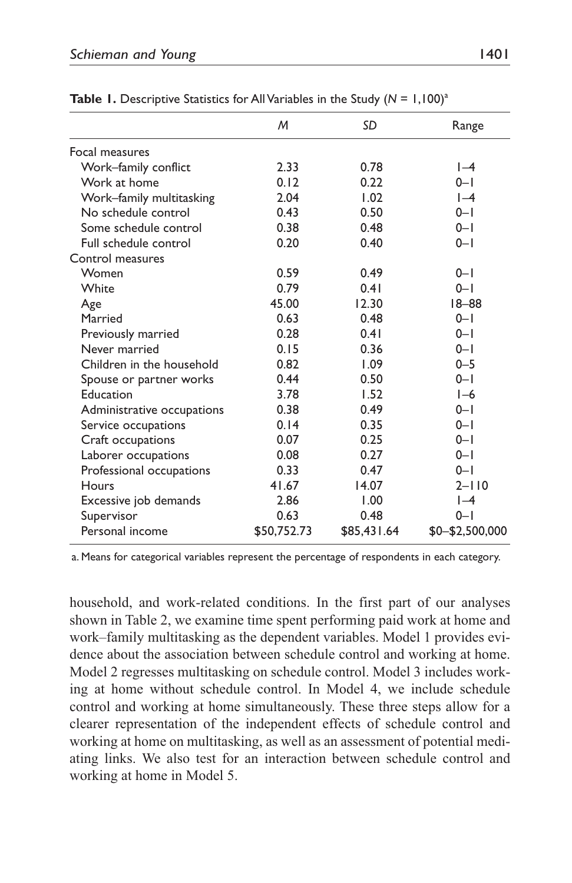| M           | SD          | Range           |
|-------------|-------------|-----------------|
|             |             |                 |
| 2.33        | 0.78        | $-4$            |
| 0.12        | 0.22        | $0 - 1$         |
| 2.04        | 1.02        | $I-4$           |
| 0.43        | 0.50        | $0 - 1$         |
| 0.38        | 0.48        | $0 - 1$         |
| 0.20        | 0.40        | $0 - 1$         |
|             |             |                 |
| 0.59        | 0.49        | $0 - 1$         |
| 0.79        | 0.41        | $0 - 1$         |
| 45.00       | 12.30       | $18 - 88$       |
| 0.63        | 0.48        | $0 - 1$         |
| 0.28        | 0.41        | $0 - 1$         |
| 0.15        | 0.36        | $0 - 1$         |
| 0.82        | 1.09        | $0 - 5$         |
| 0.44        | 0.50        | $0 - 1$         |
| 3.78        | 1.52        | $I-6$           |
| 0.38        | 0.49        | $0 - 1$         |
| 0.14        | 0.35        | $0 - 1$         |
| 0.07        | 0.25        | $0 - 1$         |
| 0.08        | 0.27        | $0 - 1$         |
| 0.33        | 0.47        | $0 - 1$         |
| 41.67       | 14.07       | $2 - 110$       |
| 2.86        | 1.00        | $-4$            |
| 0.63        | 0.48        | $0 - 1$         |
| \$50,752.73 | \$85,431.64 | \$0-\$2,500,000 |
|             |             |                 |

**Table 1.** Descriptive Statistics for All Variables in the Study  $(N = 1,100)^{a}$ 

a. Means for categorical variables represent the percentage of respondents in each category.

household, and work-related conditions. In the first part of our analyses shown in Table 2, we examine time spent performing paid work at home and work–family multitasking as the dependent variables. Model 1 provides evidence about the association between schedule control and working at home. Model 2 regresses multitasking on schedule control. Model 3 includes working at home without schedule control. In Model 4, we include schedule control and working at home simultaneously. These three steps allow for a clearer representation of the independent effects of schedule control and working at home on multitasking, as well as an assessment of potential mediating links. We also test for an interaction between schedule control and working at home in Model 5.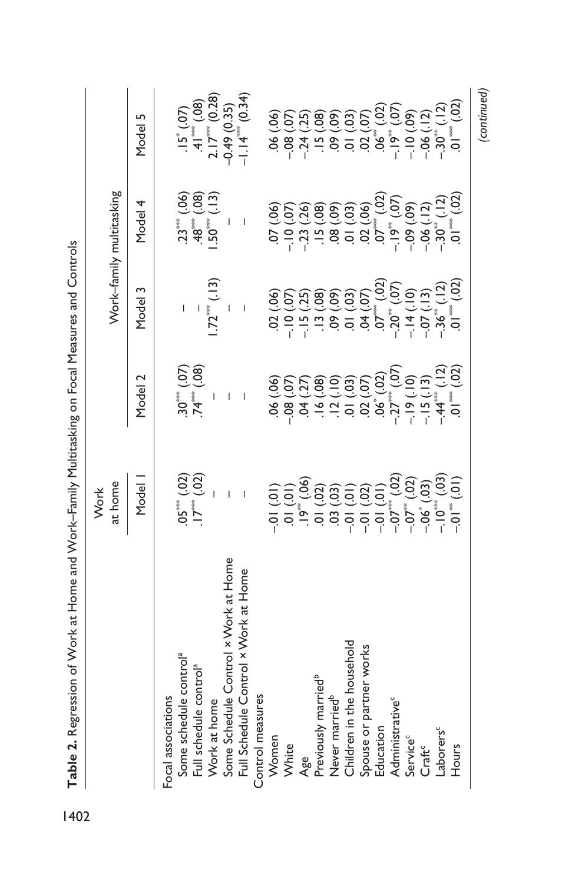| 1402                                 | Work                                                                                                                                                                                                                                                                              |                                                                                                                           |                                                                                                                                     |                                                                                                                                                                                                                                                                                         |                                                                                                                                                                          |
|--------------------------------------|-----------------------------------------------------------------------------------------------------------------------------------------------------------------------------------------------------------------------------------------------------------------------------------|---------------------------------------------------------------------------------------------------------------------------|-------------------------------------------------------------------------------------------------------------------------------------|-----------------------------------------------------------------------------------------------------------------------------------------------------------------------------------------------------------------------------------------------------------------------------------------|--------------------------------------------------------------------------------------------------------------------------------------------------------------------------|
|                                      | at home                                                                                                                                                                                                                                                                           |                                                                                                                           |                                                                                                                                     | Work-family multitasking                                                                                                                                                                                                                                                                |                                                                                                                                                                          |
|                                      | Model                                                                                                                                                                                                                                                                             | Model 2                                                                                                                   | Model 3                                                                                                                             | Model 4                                                                                                                                                                                                                                                                                 | Model 5                                                                                                                                                                  |
| Focal associations                   |                                                                                                                                                                                                                                                                                   |                                                                                                                           |                                                                                                                                     |                                                                                                                                                                                                                                                                                         |                                                                                                                                                                          |
| Some schedule control <sup>ª</sup>   |                                                                                                                                                                                                                                                                                   |                                                                                                                           | I                                                                                                                                   |                                                                                                                                                                                                                                                                                         | $.15^{*}(.07)$                                                                                                                                                           |
| Full schedule control <sup>a</sup>   | $.05^{***}$ $(.02)$<br>$.17^{***}$ $(.02)$                                                                                                                                                                                                                                        | $74^{+1}(08)$<br>$(08)$                                                                                                   | I                                                                                                                                   | $.23$ <sup>14</sup> $(.06)$<br>$.48$ <sup>14</sup> $(.08)$<br>$.50$ <sup>144</sup> $(.13)$<br>$-48$                                                                                                                                                                                     | $\frac{41}{2.17}^{***}$ (.08)<br>2.17 <sup>***</sup> (0.28)                                                                                                              |
| Work at home                         |                                                                                                                                                                                                                                                                                   | I                                                                                                                         | $1.72***$ (.13)                                                                                                                     | $.50^{***}$                                                                                                                                                                                                                                                                             |                                                                                                                                                                          |
| Some Schedule Control x Work at Home |                                                                                                                                                                                                                                                                                   | $\begin{array}{c} \end{array}$                                                                                            |                                                                                                                                     |                                                                                                                                                                                                                                                                                         |                                                                                                                                                                          |
| Full Schedule Control x Work at Home |                                                                                                                                                                                                                                                                                   | I                                                                                                                         | I                                                                                                                                   | I                                                                                                                                                                                                                                                                                       | $-0.49(0.35)$<br>$-1.14$ <sup>***</sup> (0.34)                                                                                                                           |
| Control measures                     |                                                                                                                                                                                                                                                                                   |                                                                                                                           |                                                                                                                                     |                                                                                                                                                                                                                                                                                         |                                                                                                                                                                          |
| Women                                | $(10) 10^{-}$                                                                                                                                                                                                                                                                     | .06(0.06)                                                                                                                 | (0.06)                                                                                                                              | (00) 70.                                                                                                                                                                                                                                                                                | (06)(06)                                                                                                                                                                 |
| White                                |                                                                                                                                                                                                                                                                                   | $-0.08$ (.07)                                                                                                             |                                                                                                                                     |                                                                                                                                                                                                                                                                                         |                                                                                                                                                                          |
| Age                                  |                                                                                                                                                                                                                                                                                   | 04                                                                                                                        |                                                                                                                                     |                                                                                                                                                                                                                                                                                         |                                                                                                                                                                          |
| Previously married <sup>b</sup>      |                                                                                                                                                                                                                                                                                   |                                                                                                                           | $-10$ (.07)<br>$-15$ (.25)<br>$-15$ (.25)<br>$13$ (.08)                                                                             |                                                                                                                                                                                                                                                                                         |                                                                                                                                                                          |
| Never married <sup>b</sup>           |                                                                                                                                                                                                                                                                                   |                                                                                                                           |                                                                                                                                     |                                                                                                                                                                                                                                                                                         |                                                                                                                                                                          |
| Children in the household            | $\begin{array}{l} 01\,(0,0)\\ 04\,(0,0)\\ 05\,(0,0)\\ 03\,(0,0)\\ 04\,(0,0)\\ 05\,(0,0)\\ 06\,(0,0)\\ 07\,(0,0)\\ 08\,(0,0)\\ 09\,(0,0)\\ 09\,(0,0)\\ 09\,(0,0)\\ 09\,(0,0)\\ 09\,(0,0)\\ 09\,(0,0)\\ 09\,(0,0)\\ 09\,(0,0)\\ 09\,(0,0)\\ 09\,(0,0)\\ 09\,(0,0)\\ 09\,(0,0)\\ 09$ | ဂ် <u>ခံခဲ့ခဲ့</u><br>ပွဲခဲ့ခဲ့ခဲ့<br>$-200$                                                                              | $-15$ (.35)<br>$-15$ (.08)<br>$-13$ (.09)<br>$-15$ (.09)<br>$-15$ (.09)<br>$-15$ (.07)<br>$-15$ (.07)<br>$-15$ (.07)<br>$-15$ (.07) | $-10$ (.07)<br>$-23$ (.26)<br>$-13$ (.08)<br>(.08)<br>(.09)<br>(.09)<br>(.09)<br>(.09)<br>(.09)<br>(.09)<br>(.09)<br>(.09)<br>(.09)<br>(.09)<br>(.09)<br>(.09)<br>(.09)<br>(.09)<br>(.09)<br>(.09)<br>(.09)<br>(.09)<br>(.09)<br>(.09)<br>(.09)<br>(.09)<br>(.09)<br>(.09)<br>(.09)<br> |                                                                                                                                                                          |
| Spouse or partner works              |                                                                                                                                                                                                                                                                                   |                                                                                                                           |                                                                                                                                     |                                                                                                                                                                                                                                                                                         |                                                                                                                                                                          |
| Education                            |                                                                                                                                                                                                                                                                                   | $(02)$<br>$(07)$                                                                                                          |                                                                                                                                     |                                                                                                                                                                                                                                                                                         |                                                                                                                                                                          |
| Administrative <sup>c</sup>          |                                                                                                                                                                                                                                                                                   |                                                                                                                           | $-20^{***}$                                                                                                                         |                                                                                                                                                                                                                                                                                         |                                                                                                                                                                          |
| Service <sup>c</sup>                 |                                                                                                                                                                                                                                                                                   | $\begin{array}{c} .06^* \ (02) \\ -27^* \ (07) \\ -.19 \ (13) \\ -.15 \ (13) \\ -.15 \ (13) \\ -.44^* \ (12) \end{array}$ |                                                                                                                                     |                                                                                                                                                                                                                                                                                         |                                                                                                                                                                          |
| Craft <sup>c</sup>                   |                                                                                                                                                                                                                                                                                   |                                                                                                                           |                                                                                                                                     |                                                                                                                                                                                                                                                                                         |                                                                                                                                                                          |
| Laborers <sup>c</sup>                |                                                                                                                                                                                                                                                                                   |                                                                                                                           | $07^{14}$ (.02)<br>$-20^{14}$ (.07)<br>$-14$ (.10)<br>$-07$ (.13)<br>$-36^{14}$ (.12)                                               |                                                                                                                                                                                                                                                                                         |                                                                                                                                                                          |
| Hours                                |                                                                                                                                                                                                                                                                                   | (12)<br>$rac{1}{\sqrt{2}}$                                                                                                | $(50)$ see [02]                                                                                                                     |                                                                                                                                                                                                                                                                                         | $-38 (07)$<br>$-24 (25)$<br>$-15 (08)$<br>$09 (03)$<br>$09 (03)$<br>$09 (03)$<br>$09 (03)$<br>$09 (03)$<br>$09 (03)$<br>$09 (03)$<br>$09 (03)$<br>$09 (03)$<br>$09 (03)$ |

*(continued)*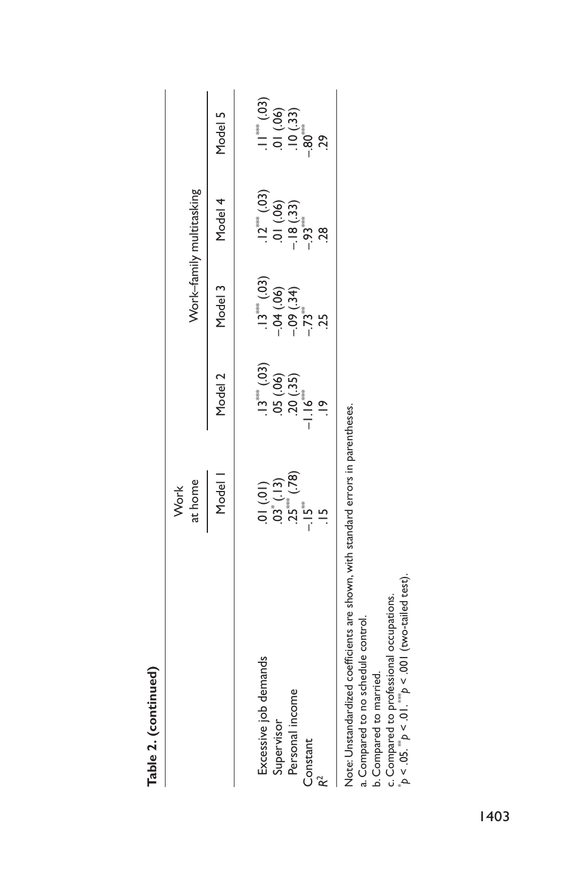| Table 2. (continued)                                                              |                                                                                                |                                                                             |                                                                  |                                                                |                                                             |
|-----------------------------------------------------------------------------------|------------------------------------------------------------------------------------------------|-----------------------------------------------------------------------------|------------------------------------------------------------------|----------------------------------------------------------------|-------------------------------------------------------------|
|                                                                                   | Work<br>at home                                                                                |                                                                             |                                                                  | Work-family multitasking                                       |                                                             |
|                                                                                   | Model                                                                                          | Model 2                                                                     | Model 3                                                          | Model 4                                                        | Model 5                                                     |
| Excessive job demands                                                             |                                                                                                |                                                                             |                                                                  |                                                                |                                                             |
| Supervisor                                                                        | $\begin{array}{c} .01 \ (.01) \\ .03^* \ (.13) \\ .25^{***} \ (.78) \\ -.15^{***} \end{array}$ | $13^{***}$ (.03)<br>05 (.06)<br>05 (.06)<br>20 (.35)<br>-1.16 <sup>**</sup> | $-13^{***}$ (.03)<br>-04 (.06)<br>-09 (.34)<br>-73 <sup>**</sup> | $12^{***}$ (.03)<br>01 (.06)<br>-18 (.33)<br>-93 <sup>**</sup> | $-80$<br>$-80$<br>$-80$<br>$-80$<br>$-80$<br>$-80$<br>$-80$ |
| Personal income                                                                   |                                                                                                |                                                                             |                                                                  |                                                                |                                                             |
| Constant                                                                          |                                                                                                |                                                                             |                                                                  |                                                                |                                                             |
| $\mathbf{R}^2$                                                                    | $\frac{5}{1}$                                                                                  |                                                                             | 25                                                               |                                                                |                                                             |
| Note: Unstandardized coefficients are shown, with standard errors in parentheses. |                                                                                                |                                                                             |                                                                  |                                                                |                                                             |

a. Compared to no schedule control.

b. Compared to married.

c. Compared to professional occupations.

a. Compared to no schedule control.<br>b. Compared to married.<br>c. Compared to professional occupations.<br> ${}^{\circ}_{p} < .05.$  ${}^{\circ}_{p} < .01.$  ${}^{\circ}_{p} < .001$  (two-tailed test). \**p* < .05. \*\**p* < .01. \*\*\**p* < .001 (two-tailed test).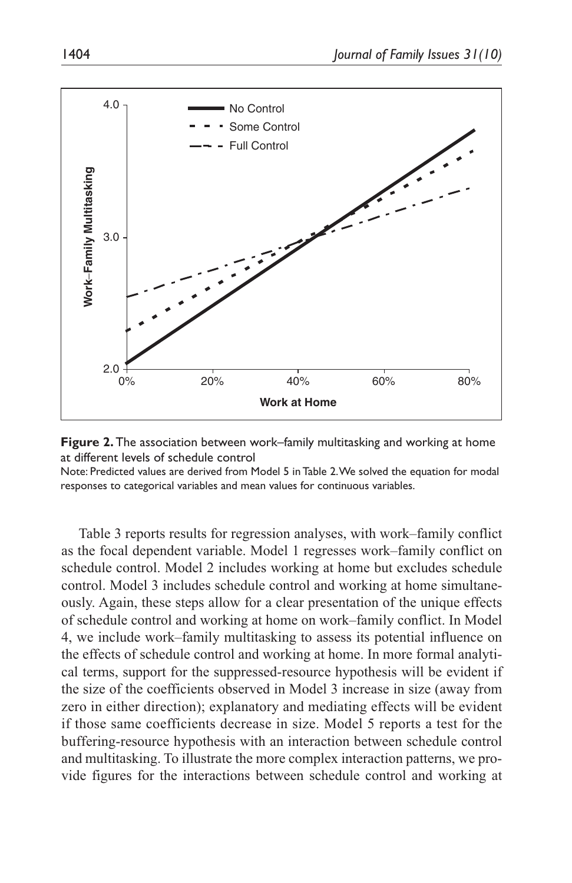



Note: Predicted values are derived from Model 5 in Table 2. We solved the equation for modal responses to categorical variables and mean values for continuous variables.

Table 3 reports results for regression analyses, with work–family conflict as the focal dependent variable. Model 1 regresses work–family conflict on schedule control. Model 2 includes working at home but excludes schedule control. Model 3 includes schedule control and working at home simultaneously. Again, these steps allow for a clear presentation of the unique effects of schedule control and working at home on work–family conflict. In Model 4, we include work–family multitasking to assess its potential influence on the effects of schedule control and working at home. In more formal analytical terms, support for the suppressed-resource hypothesis will be evident if the size of the coefficients observed in Model 3 increase in size (away from zero in either direction); explanatory and mediating effects will be evident if those same coefficients decrease in size. Model 5 reports a test for the buffering-resource hypothesis with an interaction between schedule control and multitasking. To illustrate the more complex interaction patterns, we provide figures for the interactions between schedule control and working at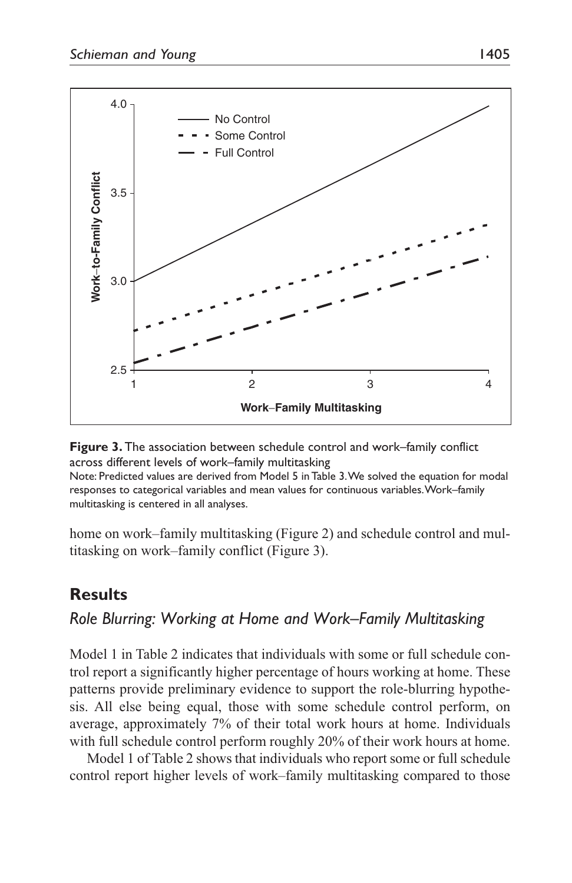



Note: Predicted values are derived from Model 5 in Table 3. We solved the equation for modal responses to categorical variables and mean values for continuous variables. Work–family multitasking is centered in all analyses.

home on work–family multitasking (Figure 2) and schedule control and multitasking on work–family conflict (Figure 3).

# **Results**

## *Role Blurring: Working at Home and Work–Family Multitasking*

Model 1 in Table 2 indicates that individuals with some or full schedule control report a significantly higher percentage of hours working at home. These patterns provide preliminary evidence to support the role-blurring hypothesis. All else being equal, those with some schedule control perform, on average, approximately 7% of their total work hours at home. Individuals with full schedule control perform roughly 20% of their work hours at home.

Model 1 of Table 2 shows that individuals who report some or full schedule control report higher levels of work–family multitasking compared to those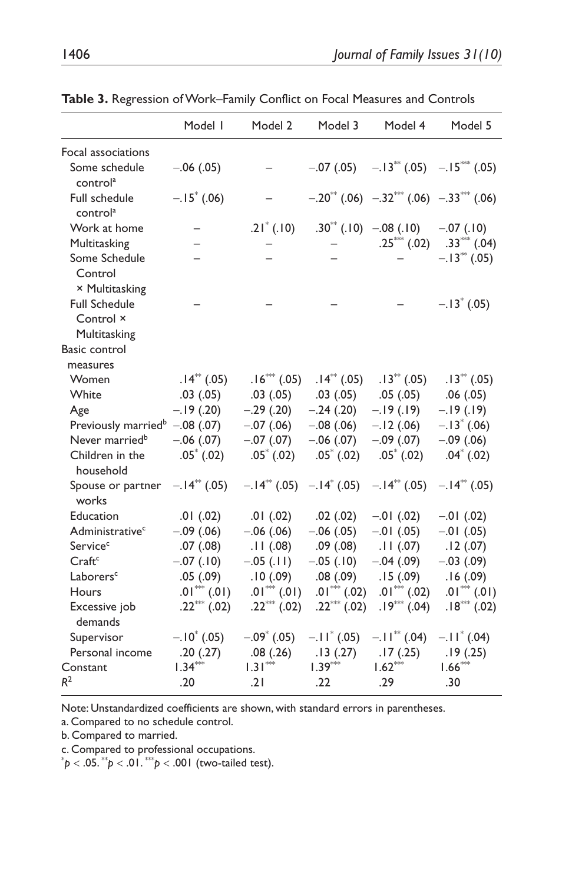|                                              | Model I                      | Model 2                                                                          | Model 3                         | Model 4                                                  | Model 5                                              |
|----------------------------------------------|------------------------------|----------------------------------------------------------------------------------|---------------------------------|----------------------------------------------------------|------------------------------------------------------|
| Focal associations                           |                              |                                                                                  |                                 |                                                          |                                                      |
| Some schedule                                | $-.06(.05)$                  |                                                                                  |                                 |                                                          | $-.07(.05)$ $-.13^{**}(.05)$ $-.15^{***}(.05)$       |
| control <sup>a</sup>                         |                              |                                                                                  |                                 |                                                          |                                                      |
| Full schedule<br>control <sup>a</sup>        | $-.15^*$ (.06)               |                                                                                  |                                 |                                                          | $-.20^{**}(.06)$ $-.32^{***}(.06)$ $-.33^{***}(.06)$ |
| Work at home                                 |                              |                                                                                  |                                 | $.21^* (.10)$ $.30^{**} (.10)$ $-.08 (.10)$ $-.07 (.10)$ |                                                      |
| Multitasking                                 |                              |                                                                                  |                                 |                                                          | $.25***$ $(.02)$ $.33***$ $(.04)$                    |
| Some Schedule                                |                              |                                                                                  |                                 |                                                          | $-.13**(.05)$                                        |
| Control                                      |                              |                                                                                  |                                 |                                                          |                                                      |
| × Multitasking                               |                              |                                                                                  |                                 |                                                          |                                                      |
| <b>Full Schedule</b>                         |                              |                                                                                  |                                 |                                                          | $-.13^*(.05)$                                        |
| Control ×                                    |                              |                                                                                  |                                 |                                                          |                                                      |
| Multitasking                                 |                              |                                                                                  |                                 |                                                          |                                                      |
| Basic control                                |                              |                                                                                  |                                 |                                                          |                                                      |
| measures                                     |                              |                                                                                  |                                 |                                                          |                                                      |
| Women                                        |                              | $14^{**}$ (.05) $16^{***}$ (.05) $14^{**}$ (.05) $13^{**}$ (.05) $13^{**}$ (.05) |                                 |                                                          |                                                      |
| White                                        | .03(.05)                     | .03(.05)                                                                         | .03(.05)                        | .05(.05)                                                 | .06(.05)                                             |
| Age                                          | $-.19(.20)$                  | $-.29(.20)$                                                                      | $-.24(.20)$                     | $-.19(.19)$                                              | $-.19(.19)$                                          |
| Previously married <sup>b</sup> $-.08$ (.07) |                              | $-.07(.06)$                                                                      | $-.08(.06)$                     | $-.12(.06)$                                              | $-.13$ (.06)                                         |
| Never married <sup>b</sup>                   | $-.06(.07)$                  | $-.07(.07)$                                                                      | $-.06(.07)$                     | $-.09(.07)$                                              | $-.09(.06)$                                          |
| Children in the<br>household                 | $.05^*$ (.02)                | $.05^*$ (.02)                                                                    | $.05^*$ $(.02)$ $.05^*$ $(.02)$ |                                                          | $.04^*$ (.02)                                        |
| Spouse or partner $-.14^{**}(.05)$           |                              | $-.14^{**}(.05)$ $-.14^{*}(.05)$ $-.14^{**}(.05)$                                |                                 |                                                          | $-.14^{**}(.05)$                                     |
| works                                        |                              |                                                                                  |                                 |                                                          |                                                      |
| Education                                    | .01(.02)                     | .01(.02)                                                                         | .02(.02)                        | $-.01$ (.02)                                             | $-.01$ (.02)                                         |
| Administrative <sup>c</sup>                  | $-.09(.06)$                  | $-.06(.06)$                                                                      | $-.06(.05)$                     | $-.01$ (.05)                                             | $-.01$ (.05)                                         |
| Service <sup>c</sup>                         | .07(.08)                     | $(80.)$ 11.                                                                      | .09(.08)                        | .11(.07)                                                 | .12(.07)                                             |
| Craft <sup>c</sup>                           | $-.07(.10)$                  | $-.05(.11)$                                                                      | $-.05(.10)$                     | $-.04(.09)$                                              | $-.03(.09)$                                          |
| Laborers <sup>c</sup>                        | .05(.09)                     | .10 (.09)                                                                        | .08 (.09)<br>$.01***$ $(.02)$   | .15(.09)                                                 | .16(0.09)<br>$.01***(01)$                            |
| <b>Hours</b>                                 | $(10)$ <sup>***</sup> $(01)$ | $.01***(01)$                                                                     |                                 | $.01***$ $(.02)$                                         |                                                      |
| Excessive job<br>demands                     | $.22***$ $(.02)$             | $.22***$ $(.02)$                                                                 | $.22***$ $(.02)$                | $.19^{***}(.04)$                                         | $.18***$ $(.02)$                                     |
| Supervisor                                   | $-.10^*$ (.05)               | $-.09^*$ (.05)                                                                   | $-.11^*$ (.05)                  | $-11^{**}$ (.04)                                         | $-.11^* (.04)$                                       |
| Personal income                              | .20(.27)                     | .08(.26)                                                                         | .13(.27)                        | .17(0.25)                                                | .19(.25)                                             |
| Constant                                     | $1.34***$                    | $1.31***$                                                                        | $1.39***$                       | $1.62***$                                                | $1.66***$                                            |
| R <sup>2</sup>                               | .20                          | .21                                                                              | .22                             | .29                                                      | .30                                                  |

**Table 3.** Regression of Work–Family Conflict on Focal Measures and Controls

Note: Unstandardized coefficients are shown, with standard errors in parentheses.

a. Compared to no schedule control.

b. Compared to married.

c. Compared to professional occupations.

\* *p* < .05. \*\**p* < .01. \*\*\**p* < .001 (two-tailed test).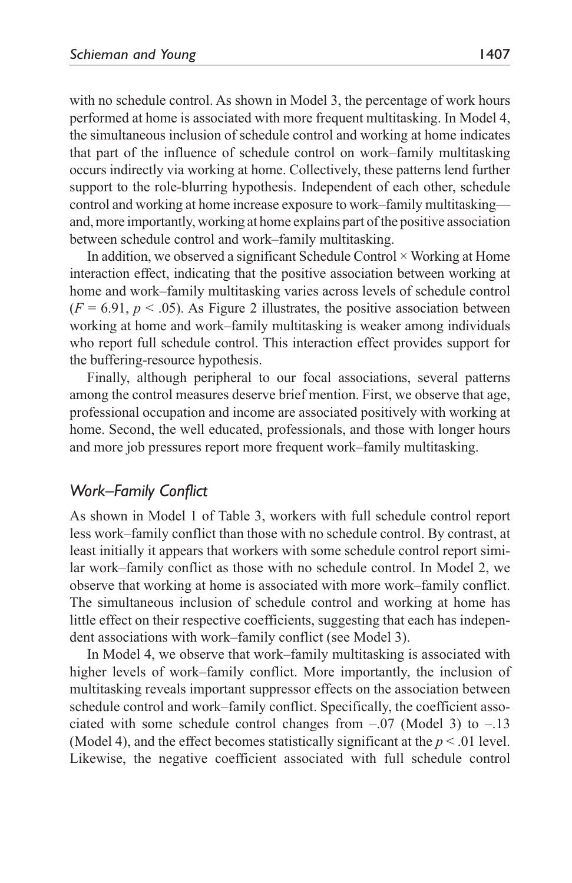with no schedule control. As shown in Model 3, the percentage of work hours performed at home is associated with more frequent multitasking. In Model 4, the simultaneous inclusion of schedule control and working at home indicates that part of the influence of schedule control on work–family multitasking occurs indirectly via working at home. Collectively, these patterns lend further support to the role-blurring hypothesis. Independent of each other, schedule control and working at home increase exposure to work–family multitasking and, more importantly, working at home explains part of the positive association between schedule control and work–family multitasking.

In addition, we observed a significant Schedule Control  $\times$  Working at Home interaction effect, indicating that the positive association between working at home and work–family multitasking varies across levels of schedule control  $(F = 6.91, p < .05)$ . As Figure 2 illustrates, the positive association between working at home and work–family multitasking is weaker among individuals who report full schedule control. This interaction effect provides support for the buffering-resource hypothesis.

Finally, although peripheral to our focal associations, several patterns among the control measures deserve brief mention. First, we observe that age, professional occupation and income are associated positively with working at home. Second, the well educated, professionals, and those with longer hours and more job pressures report more frequent work–family multitasking.

## *Work–Family Conflict*

As shown in Model 1 of Table 3, workers with full schedule control report less work–family conflict than those with no schedule control. By contrast, at least initially it appears that workers with some schedule control report similar work–family conflict as those with no schedule control. In Model 2, we observe that working at home is associated with more work–family conflict. The simultaneous inclusion of schedule control and working at home has little effect on their respective coefficients, suggesting that each has independent associations with work–family conflict (see Model 3).

In Model 4, we observe that work–family multitasking is associated with higher levels of work–family conflict. More importantly, the inclusion of multitasking reveals important suppressor effects on the association between schedule control and work–family conflict. Specifically, the coefficient associated with some schedule control changes from  $-.07$  (Model 3) to  $-.13$ (Model 4), and the effect becomes statistically significant at the  $p < .01$  level. Likewise, the negative coefficient associated with full schedule control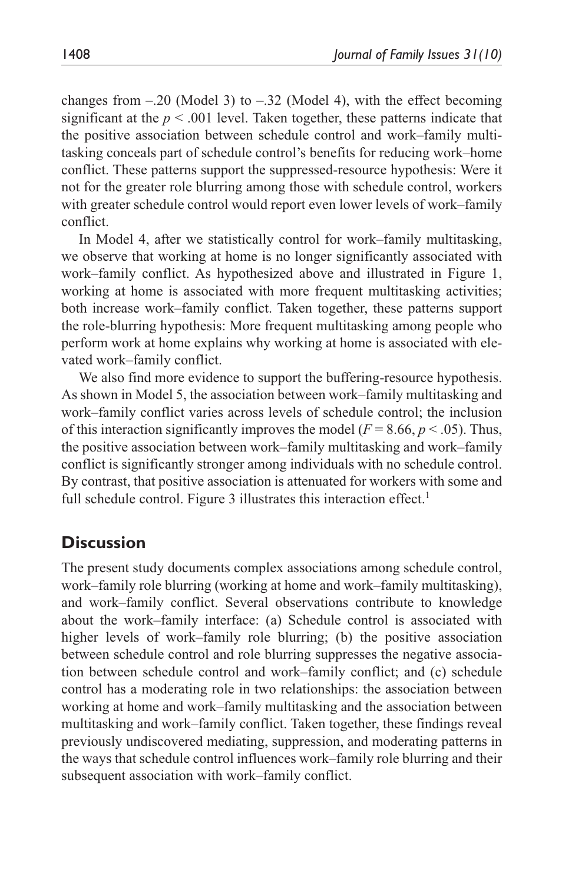changes from  $-.20$  (Model 3) to  $-.32$  (Model 4), with the effect becoming significant at the  $p < .001$  level. Taken together, these patterns indicate that the positive association between schedule control and work–family multitasking conceals part of schedule control's benefits for reducing work–home conflict. These patterns support the suppressed-resource hypothesis: Were it not for the greater role blurring among those with schedule control, workers with greater schedule control would report even lower levels of work–family conflict.

In Model 4, after we statistically control for work–family multitasking, we observe that working at home is no longer significantly associated with work–family conflict. As hypothesized above and illustrated in Figure 1, working at home is associated with more frequent multitasking activities; both increase work–family conflict. Taken together, these patterns support the role-blurring hypothesis: More frequent multitasking among people who perform work at home explains why working at home is associated with elevated work–family conflict.

We also find more evidence to support the buffering-resource hypothesis. As shown in Model 5, the association between work–family multitasking and work–family conflict varies across levels of schedule control; the inclusion of this interaction significantly improves the model ( $F = 8.66$ ,  $p < .05$ ). Thus, the positive association between work–family multitasking and work–family conflict is significantly stronger among individuals with no schedule control. By contrast, that positive association is attenuated for workers with some and full schedule control. Figure 3 illustrates this interaction effect.<sup>1</sup>

## **Discussion**

The present study documents complex associations among schedule control, work–family role blurring (working at home and work–family multitasking), and work–family conflict. Several observations contribute to knowledge about the work–family interface: (a) Schedule control is associated with higher levels of work–family role blurring; (b) the positive association between schedule control and role blurring suppresses the negative association between schedule control and work–family conflict; and (c) schedule control has a moderating role in two relationships: the association between working at home and work–family multitasking and the association between multitasking and work–family conflict. Taken together, these findings reveal previously undiscovered mediating, suppression, and moderating patterns in the ways that schedule control influences work–family role blurring and their subsequent association with work–family conflict.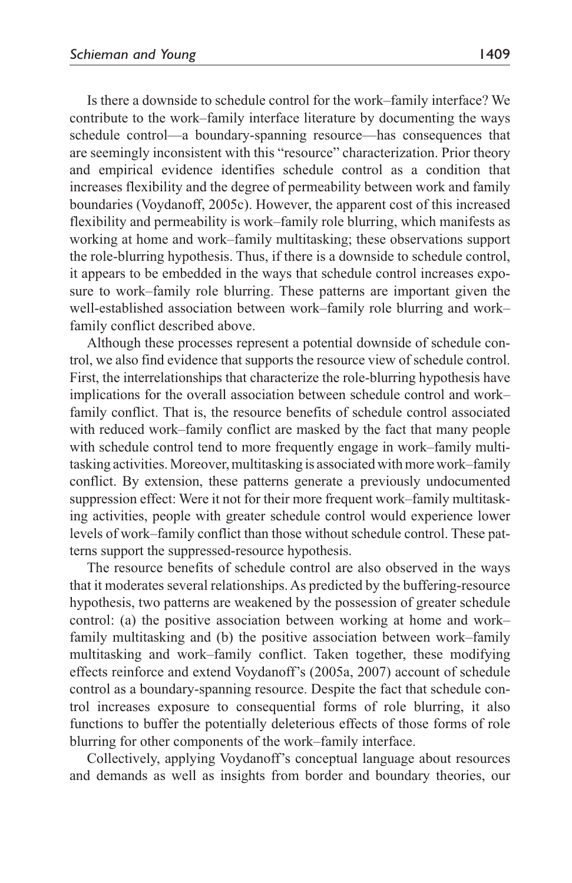Is there a downside to schedule control for the work–family interface? We contribute to the work–family interface literature by documenting the ways schedule control—a boundary-spanning resource—has consequences that are seemingly inconsistent with this "resource" characterization. Prior theory and empirical evidence identifies schedule control as a condition that increases flexibility and the degree of permeability between work and family boundaries (Voydanoff, 2005c). However, the apparent cost of this increased flexibility and permeability is work–family role blurring, which manifests as working at home and work–family multitasking; these observations support the role-blurring hypothesis. Thus, if there is a downside to schedule control, it appears to be embedded in the ways that schedule control increases exposure to work–family role blurring. These patterns are important given the well-established association between work–family role blurring and work– family conflict described above.

Although these processes represent a potential downside of schedule control, we also find evidence that supports the resource view of schedule control. First, the interrelationships that characterize the role-blurring hypothesis have implications for the overall association between schedule control and work– family conflict. That is, the resource benefits of schedule control associated with reduced work–family conflict are masked by the fact that many people with schedule control tend to more frequently engage in work–family multitasking activities. Moreover, multitasking is associated with more work–family conflict. By extension, these patterns generate a previously undocumented suppression effect: Were it not for their more frequent work–family multitasking activities, people with greater schedule control would experience lower levels of work–family conflict than those without schedule control. These patterns support the suppressed-resource hypothesis.

The resource benefits of schedule control are also observed in the ways that it moderates several relationships. As predicted by the buffering-resource hypothesis, two patterns are weakened by the possession of greater schedule control: (a) the positive association between working at home and work– family multitasking and (b) the positive association between work–family multitasking and work–family conflict. Taken together, these modifying effects reinforce and extend Voydanoff's (2005a, 2007) account of schedule control as a boundary-spanning resource. Despite the fact that schedule control increases exposure to consequential forms of role blurring, it also functions to buffer the potentially deleterious effects of those forms of role blurring for other components of the work–family interface.

Collectively, applying Voydanoff's conceptual language about resources and demands as well as insights from border and boundary theories, our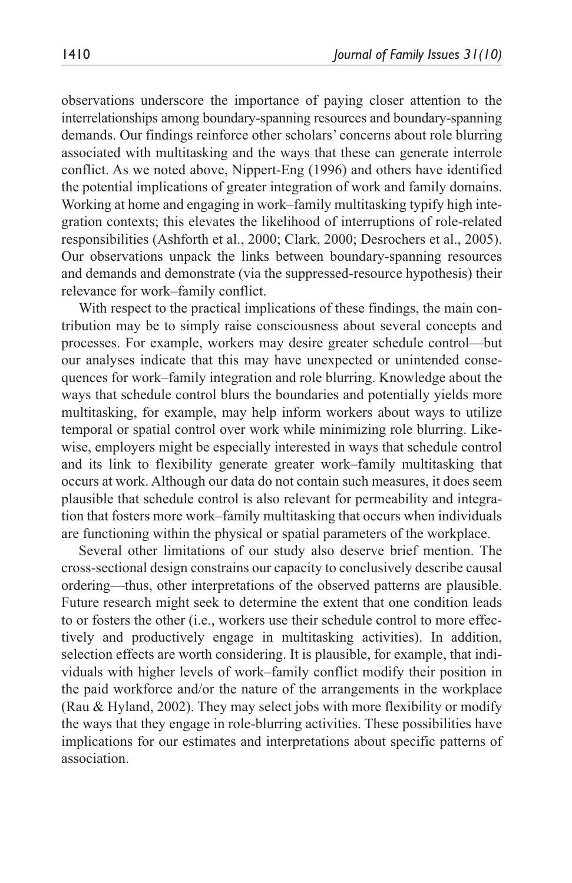observations underscore the importance of paying closer attention to the interrelationships among boundary-spanning resources and boundary-spanning demands. Our findings reinforce other scholars' concerns about role blurring associated with multitasking and the ways that these can generate interrole conflict. As we noted above, Nippert-Eng (1996) and others have identified the potential implications of greater integration of work and family domains. Working at home and engaging in work–family multitasking typify high integration contexts; this elevates the likelihood of interruptions of role-related responsibilities (Ashforth et al., 2000; Clark, 2000; Desrochers et al., 2005). Our observations unpack the links between boundary-spanning resources and demands and demonstrate (via the suppressed-resource hypothesis) their relevance for work–family conflict.

With respect to the practical implications of these findings, the main contribution may be to simply raise consciousness about several concepts and processes. For example, workers may desire greater schedule control—but our analyses indicate that this may have unexpected or unintended consequences for work–family integration and role blurring. Knowledge about the ways that schedule control blurs the boundaries and potentially yields more multitasking, for example, may help inform workers about ways to utilize temporal or spatial control over work while minimizing role blurring. Likewise, employers might be especially interested in ways that schedule control and its link to flexibility generate greater work–family multitasking that occurs at work. Although our data do not contain such measures, it does seem plausible that schedule control is also relevant for permeability and integration that fosters more work–family multitasking that occurs when individuals are functioning within the physical or spatial parameters of the workplace.

Several other limitations of our study also deserve brief mention. The cross-sectional design constrains our capacity to conclusively describe causal ordering—thus, other interpretations of the observed patterns are plausible. Future research might seek to determine the extent that one condition leads to or fosters the other (i.e., workers use their schedule control to more effectively and productively engage in multitasking activities). In addition, selection effects are worth considering. It is plausible, for example, that individuals with higher levels of work–family conflict modify their position in the paid workforce and/or the nature of the arrangements in the workplace (Rau & Hyland, 2002). They may select jobs with more flexibility or modify the ways that they engage in role-blurring activities. These possibilities have implications for our estimates and interpretations about specific patterns of association.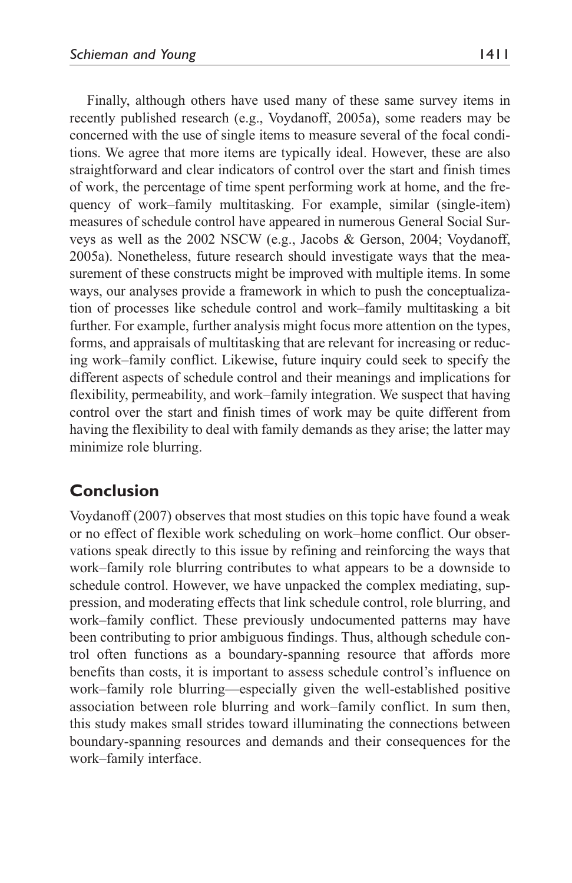Finally, although others have used many of these same survey items in recently published research (e.g., Voydanoff, 2005a), some readers may be concerned with the use of single items to measure several of the focal conditions. We agree that more items are typically ideal. However, these are also straightforward and clear indicators of control over the start and finish times of work, the percentage of time spent performing work at home, and the frequency of work–family multitasking. For example, similar (single-item) measures of schedule control have appeared in numerous General Social Surveys as well as the 2002 NSCW (e.g., Jacobs & Gerson, 2004; Voydanoff, 2005a). Nonetheless, future research should investigate ways that the measurement of these constructs might be improved with multiple items. In some ways, our analyses provide a framework in which to push the conceptualization of processes like schedule control and work–family multitasking a bit further. For example, further analysis might focus more attention on the types, forms, and appraisals of multitasking that are relevant for increasing or reducing work–family conflict. Likewise, future inquiry could seek to specify the different aspects of schedule control and their meanings and implications for flexibility, permeability, and work–family integration. We suspect that having control over the start and finish times of work may be quite different from having the flexibility to deal with family demands as they arise; the latter may minimize role blurring.

# **Conclusion**

Voydanoff (2007) observes that most studies on this topic have found a weak or no effect of flexible work scheduling on work–home conflict. Our observations speak directly to this issue by refining and reinforcing the ways that work–family role blurring contributes to what appears to be a downside to schedule control. However, we have unpacked the complex mediating, suppression, and moderating effects that link schedule control, role blurring, and work–family conflict. These previously undocumented patterns may have been contributing to prior ambiguous findings. Thus, although schedule control often functions as a boundary-spanning resource that affords more benefits than costs, it is important to assess schedule control's influence on work–family role blurring—especially given the well-established positive association between role blurring and work–family conflict. In sum then, this study makes small strides toward illuminating the connections between boundary-spanning resources and demands and their consequences for the work–family interface.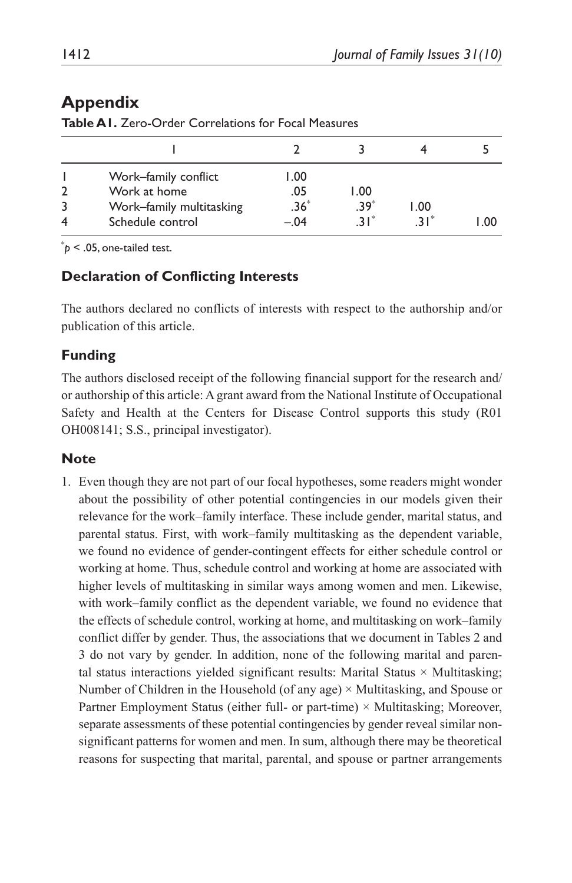# **Appendix**

**Table A1.** Zero-Order Correlations for Focal Measures

|                | Work-family conflict     | 0.00   |        |      |     |
|----------------|--------------------------|--------|--------|------|-----|
| $\mathfrak{p}$ | Work at home             | .05    | 1.00   |      |     |
| 3              | Work-family multitasking | $.36*$ | $.39*$ | 1.00 |     |
| 4              | Schedule control         | $-.04$ | $31^*$ |      | ഥ വ |

 $p<$  .05, one-tailed test.

#### **Declaration of Conflicting Interests**

The authors declared no conflicts of interests with respect to the authorship and/or publication of this article.

## **Funding**

The authors disclosed receipt of the following financial support for the research and/ or authorship of this article: A grant award from the National Institute of Occupational Safety and Health at the Centers for Disease Control supports this study (R01 OH008141; S.S., principal investigator).

#### **Note**

1. Even though they are not part of our focal hypotheses, some readers might wonder about the possibility of other potential contingencies in our models given their relevance for the work–family interface. These include gender, marital status, and parental status. First, with work–family multitasking as the dependent variable, we found no evidence of gender-contingent effects for either schedule control or working at home. Thus, schedule control and working at home are associated with higher levels of multitasking in similar ways among women and men. Likewise, with work–family conflict as the dependent variable, we found no evidence that the effects of schedule control, working at home, and multitasking on work–family conflict differ by gender. Thus, the associations that we document in Tables 2 and 3 do not vary by gender. In addition, none of the following marital and parental status interactions yielded significant results: Marital Status  $\times$  Multitasking; Number of Children in the Household (of any age)  $\times$  Multitasking, and Spouse or Partner Employment Status (either full- or part-time)  $\times$  Multitasking; Moreover, separate assessments of these potential contingencies by gender reveal similar nonsignificant patterns for women and men. In sum, although there may be theoretical reasons for suspecting that marital, parental, and spouse or partner arrangements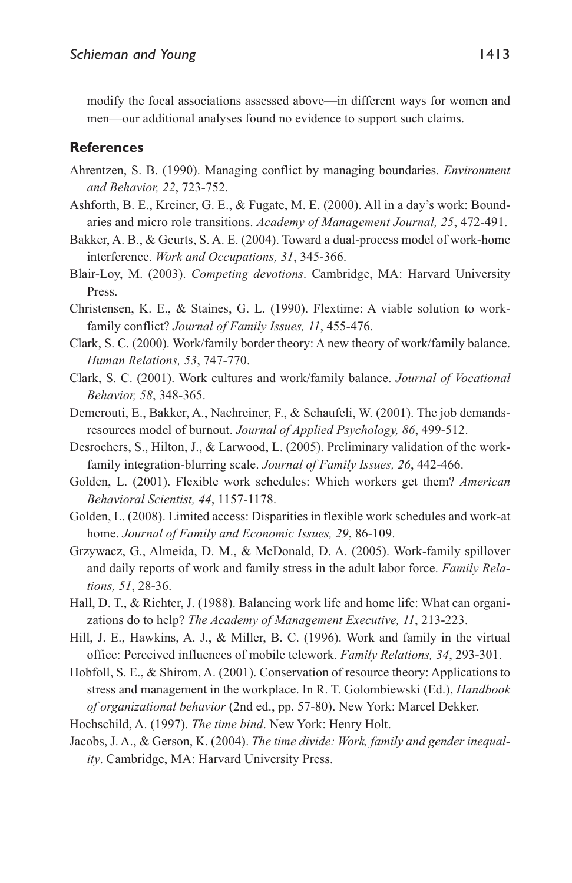modify the focal associations assessed above—in different ways for women and men—our additional analyses found no evidence to support such claims.

#### **References**

- Ahrentzen, S. B. (1990). Managing conflict by managing boundaries. *Environment and Behavior, 22*, 723-752.
- Ashforth, B. E., Kreiner, G. E., & Fugate, M. E. (2000). All in a day's work: Boundaries and micro role transitions. *Academy of Management Journal, 25*, 472-491.
- Bakker, A. B., & Geurts, S. A. E. (2004). Toward a dual-process model of work-home interference. *Work and Occupations, 31*, 345-366.
- Blair-Loy, M. (2003). *Competing devotions*. Cambridge, MA: Harvard University Press.
- Christensen, K. E., & Staines, G. L. (1990). Flextime: A viable solution to workfamily conflict? *Journal of Family Issues, 11*, 455-476.
- Clark, S. C. (2000). Work/family border theory: A new theory of work/family balance. *Human Relations, 53*, 747-770.
- Clark, S. C. (2001). Work cultures and work/family balance. *Journal of Vocational Behavior, 58*, 348-365.
- Demerouti, E., Bakker, A., Nachreiner, F., & Schaufeli, W. (2001). The job demandsresources model of burnout. *Journal of Applied Psychology, 86*, 499-512.
- Desrochers, S., Hilton, J., & Larwood, L. (2005). Preliminary validation of the workfamily integration-blurring scale. *Journal of Family Issues, 26*, 442-466.
- Golden, L. (2001). Flexible work schedules: Which workers get them? *American Behavioral Scientist, 44*, 1157-1178.
- Golden, L. (2008). Limited access: Disparities in flexible work schedules and work-at home. *Journal of Family and Economic Issues, 29*, 86-109.
- Grzywacz, G., Almeida, D. M., & McDonald, D. A. (2005). Work-family spillover and daily reports of work and family stress in the adult labor force. *Family Relations, 51*, 28-36.
- Hall, D. T., & Richter, J. (1988). Balancing work life and home life: What can organizations do to help? *The Academy of Management Executive, 11*, 213-223.
- Hill, J. E., Hawkins, A. J., & Miller, B. C. (1996). Work and family in the virtual office: Perceived influences of mobile telework. *Family Relations, 34*, 293-301.
- Hobfoll, S. E., & Shirom, A. (2001). Conservation of resource theory: Applications to stress and management in the workplace. In R. T. Golombiewski (Ed.), *Handbook of organizational behavior* (2nd ed., pp. 57-80). New York: Marcel Dekker.
- Hochschild, A. (1997). *The time bind*. New York: Henry Holt.
- Jacobs, J. A., & Gerson, K. (2004). *The time divide: Work, family and gender inequality*. Cambridge, MA: Harvard University Press.